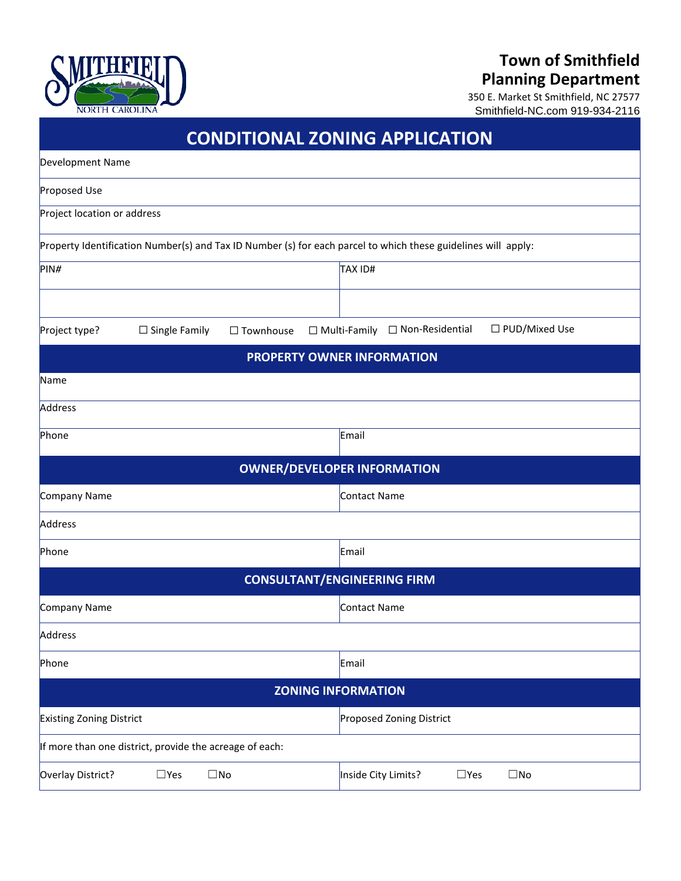# **Town of Smithfield Planning Department**



350 E. Market St Smithfield, NC 27577 Smithfield-NC.com 919-934-2116

| <b>CONDITIONAL ZONING APPLICATION</b>                                                                         |                                                        |  |
|---------------------------------------------------------------------------------------------------------------|--------------------------------------------------------|--|
| Development Name                                                                                              |                                                        |  |
| Proposed Use                                                                                                  |                                                        |  |
| Project location or address                                                                                   |                                                        |  |
| Property Identification Number(s) and Tax ID Number (s) for each parcel to which these guidelines will apply: |                                                        |  |
| PIN#                                                                                                          | TAX ID#                                                |  |
|                                                                                                               |                                                        |  |
| Project type?<br>$\Box$ Single Family<br>$\Box$ Townhouse                                                     | □ PUD/Mixed Use<br>□ Non-Residential<br>□ Multi-Family |  |
|                                                                                                               | <b>PROPERTY OWNER INFORMATION</b>                      |  |
| Name                                                                                                          |                                                        |  |
| Address                                                                                                       |                                                        |  |
| Phone                                                                                                         | Email                                                  |  |
| <b>OWNER/DEVELOPER INFORMATION</b>                                                                            |                                                        |  |
| Company Name                                                                                                  | Contact Name                                           |  |
| Address                                                                                                       |                                                        |  |
| Phone                                                                                                         | Email                                                  |  |
| <b>CONSULTANT/ENGINEERING FIRM</b>                                                                            |                                                        |  |
| Company Name                                                                                                  | Contact Name                                           |  |
| Address                                                                                                       |                                                        |  |
| Phone                                                                                                         | Email                                                  |  |
| <b>ZONING INFORMATION</b>                                                                                     |                                                        |  |
| Existing Zoning District                                                                                      | Proposed Zoning District                               |  |
| If more than one district, provide the acreage of each:                                                       |                                                        |  |
| Overlay District?<br>$\square$ Yes<br>$\square$ No                                                            | Inside City Limits?<br>$\square$ Yes<br>$\square$ No   |  |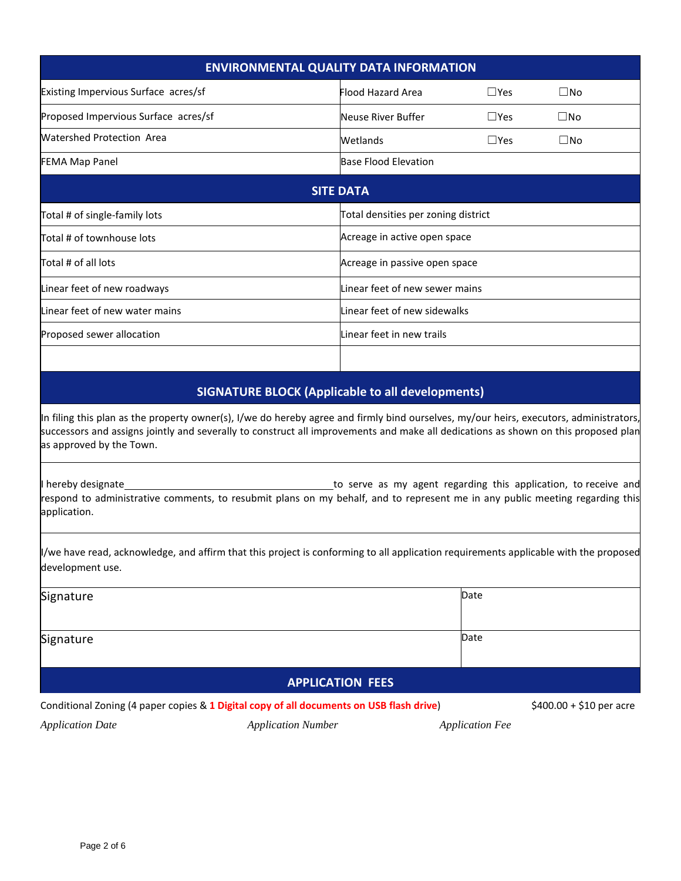| <b>ENVIRONMENTAL QUALITY DATA INFORMATION</b>                                                                                                                                                                                                                                |                                     |               |              |
|------------------------------------------------------------------------------------------------------------------------------------------------------------------------------------------------------------------------------------------------------------------------------|-------------------------------------|---------------|--------------|
| Existing Impervious Surface acres/sf                                                                                                                                                                                                                                         | <b>Flood Hazard Area</b>            | $\square$ Yes | $\square$ No |
| Proposed Impervious Surface acres/sf                                                                                                                                                                                                                                         | Neuse River Buffer                  | $\square$ Yes | $\square$ No |
| <b>Watershed Protection Area</b>                                                                                                                                                                                                                                             | Wetlands                            | $\Box$ Yes    | $\square$ No |
| <b>FEMA Map Panel</b>                                                                                                                                                                                                                                                        | <b>Base Flood Elevation</b>         |               |              |
| <b>SITE DATA</b>                                                                                                                                                                                                                                                             |                                     |               |              |
| Total # of single-family lots                                                                                                                                                                                                                                                | Total densities per zoning district |               |              |
| Total # of townhouse lots                                                                                                                                                                                                                                                    | Acreage in active open space        |               |              |
| Total # of all lots                                                                                                                                                                                                                                                          | Acreage in passive open space       |               |              |
| Linear feet of new roadways                                                                                                                                                                                                                                                  | Linear feet of new sewer mains      |               |              |
| Linear feet of new water mains                                                                                                                                                                                                                                               | Linear feet of new sidewalks        |               |              |
| Proposed sewer allocation                                                                                                                                                                                                                                                    | Linear feet in new trails           |               |              |
|                                                                                                                                                                                                                                                                              |                                     |               |              |
| <b>SIGNATURE BLOCK (Applicable to all developments)</b>                                                                                                                                                                                                                      |                                     |               |              |
| In filing this plan as the property owner(s), I/we do hereby agree and firmly bind ourselves, my/our heirs, executors, administrators,<br>successors and assigns jointly and severally to construct all improvements and make all dedications as shown on this proposed plan |                                     |               |              |

severally to construct all improvements and make all ded as approved by the Town.

I hereby designate to serve as my agent regarding this application, to receive and respond to administrative comments, to resubmit plans on my behalf, and to represent me in any public meeting regarding this application.

I/we have read, acknowledge, and affirm that this project is conforming to all application requirements applicable with the proposed development use.

| Signature               | Date |  |
|-------------------------|------|--|
|                         |      |  |
| Signature               | Date |  |
|                         |      |  |
| <b>APPLICATION FEES</b> |      |  |

Conditional Zoning (4 paper copies & **1 Digital copy of all documents on USB flash drive**) \$400.00 + \$10 per acre

*Application Date Application Number Application Fee*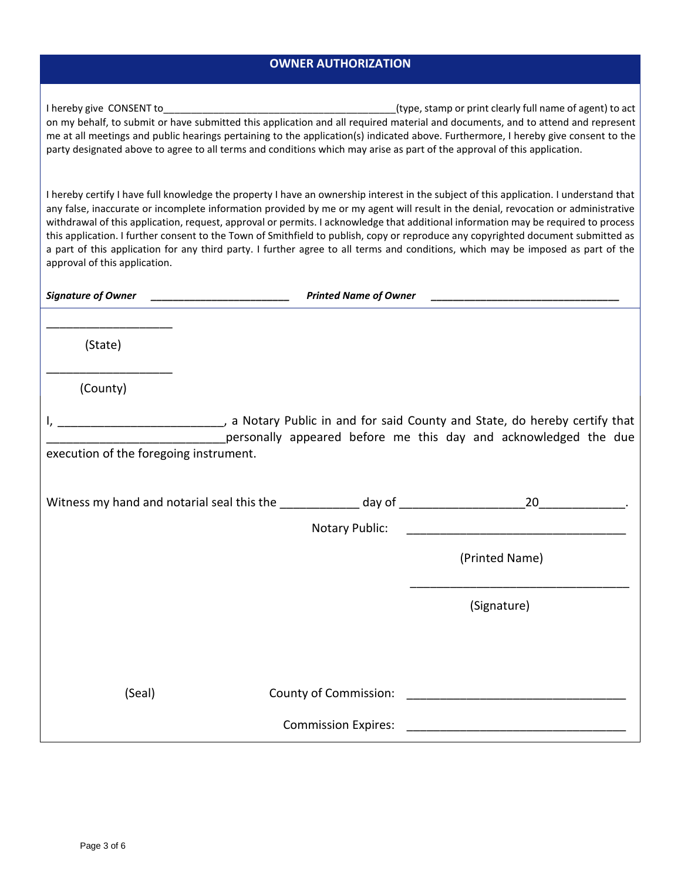### **OWNER AUTHORIZATION**

| I hereby give CONSENT to                                                                                                           | (type, stamp or print clearly full name of agent) to act |
|------------------------------------------------------------------------------------------------------------------------------------|----------------------------------------------------------|
| on my behalf, to submit or have submitted this application and all required material and documents, and to attend and represent    |                                                          |
| me at all meetings and public hearings pertaining to the application(s) indicated above. Furthermore, I hereby give consent to the |                                                          |
| party designated above to agree to all terms and conditions which may arise as part of the approval of this application.           |                                                          |

I hereby certify I have full knowledge the property I have an ownership interest in the subject of this application. I understand that any false, inaccurate or incomplete information provided by me or my agent will result in the denial, revocation or administrative withdrawal of this application, request, approval or permits. I acknowledge that additional information may be required to process this application. I further consent to the Town of Smithfield to publish, copy or reproduce any copyrighted document submitted as a part of this application for any third party. I further agree to all terms and conditions, which may be imposed as part of the approval of this application.

| <b>Signature of Owner</b>                               | <b>Printed Name of Owner</b> |                                                                                                                                                                                                                        |
|---------------------------------------------------------|------------------------------|------------------------------------------------------------------------------------------------------------------------------------------------------------------------------------------------------------------------|
|                                                         |                              |                                                                                                                                                                                                                        |
| (State)<br>the control of the control of the control of |                              |                                                                                                                                                                                                                        |
| (County)                                                |                              |                                                                                                                                                                                                                        |
|                                                         |                              | a Notary Public in and for said County and State, do hereby certify that (all other public in and for said County and State, do hereby certify that<br>personally appeared before me this day and acknowledged the due |
| execution of the foregoing instrument.                  |                              |                                                                                                                                                                                                                        |
|                                                         |                              |                                                                                                                                                                                                                        |
|                                                         |                              |                                                                                                                                                                                                                        |
|                                                         |                              | (Printed Name)                                                                                                                                                                                                         |
|                                                         |                              | (Signature)                                                                                                                                                                                                            |
|                                                         |                              |                                                                                                                                                                                                                        |
| (Seal)                                                  |                              |                                                                                                                                                                                                                        |
|                                                         | <b>Commission Expires:</b>   |                                                                                                                                                                                                                        |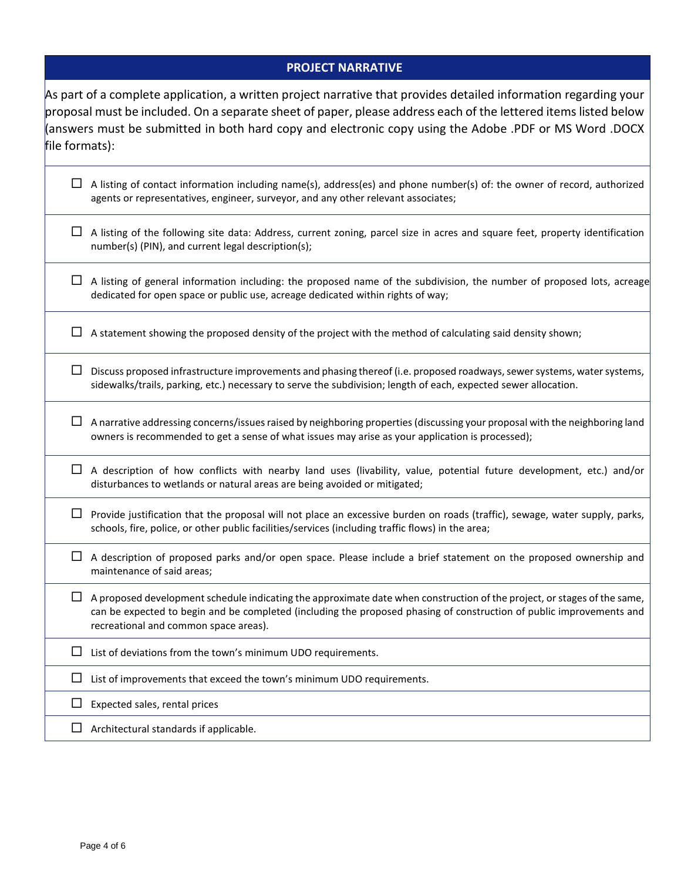## **PROJECT NARRATIVE**

| file formats): | As part of a complete application, a written project narrative that provides detailed information regarding your<br>proposal must be included. On a separate sheet of paper, please address each of the lettered items listed below<br>DOCX. answers must be submitted in both hard copy and electronic copy using the Adobe .PDF or MS Word) |
|----------------|-----------------------------------------------------------------------------------------------------------------------------------------------------------------------------------------------------------------------------------------------------------------------------------------------------------------------------------------------|
| ப              | A listing of contact information including name(s), address(es) and phone number(s) of: the owner of record, authorized<br>agents or representatives, engineer, surveyor, and any other relevant associates;                                                                                                                                  |
|                | A listing of the following site data: Address, current zoning, parcel size in acres and square feet, property identification<br>number(s) (PIN), and current legal description(s);                                                                                                                                                            |
|                | A listing of general information including: the proposed name of the subdivision, the number of proposed lots, acreage<br>dedicated for open space or public use, acreage dedicated within rights of way;                                                                                                                                     |
|                | A statement showing the proposed density of the project with the method of calculating said density shown;                                                                                                                                                                                                                                    |
|                | Discuss proposed infrastructure improvements and phasing thereof (i.e. proposed roadways, sewer systems, water systems,<br>sidewalks/trails, parking, etc.) necessary to serve the subdivision; length of each, expected sewer allocation.                                                                                                    |
| ப              | A narrative addressing concerns/issues raised by neighboring properties (discussing your proposal with the neighboring land<br>owners is recommended to get a sense of what issues may arise as your application is processed);                                                                                                               |
|                | A description of how conflicts with nearby land uses (livability, value, potential future development, etc.) and/or<br>disturbances to wetlands or natural areas are being avoided or mitigated;                                                                                                                                              |
| ப              | Provide justification that the proposal will not place an excessive burden on roads (traffic), sewage, water supply, parks,<br>schools, fire, police, or other public facilities/services (including traffic flows) in the area;                                                                                                              |
| $\Box$         | A description of proposed parks and/or open space. Please include a brief statement on the proposed ownership and<br>maintenance of said areas;                                                                                                                                                                                               |
|                | A proposed development schedule indicating the approximate date when construction of the project, or stages of the same,<br>can be expected to begin and be completed (including the proposed phasing of construction of public improvements and<br>recreational and common space areas).                                                     |
| ப              | List of deviations from the town's minimum UDO requirements.                                                                                                                                                                                                                                                                                  |
| ப              | List of improvements that exceed the town's minimum UDO requirements.                                                                                                                                                                                                                                                                         |
|                | Expected sales, rental prices                                                                                                                                                                                                                                                                                                                 |
|                | Architectural standards if applicable.                                                                                                                                                                                                                                                                                                        |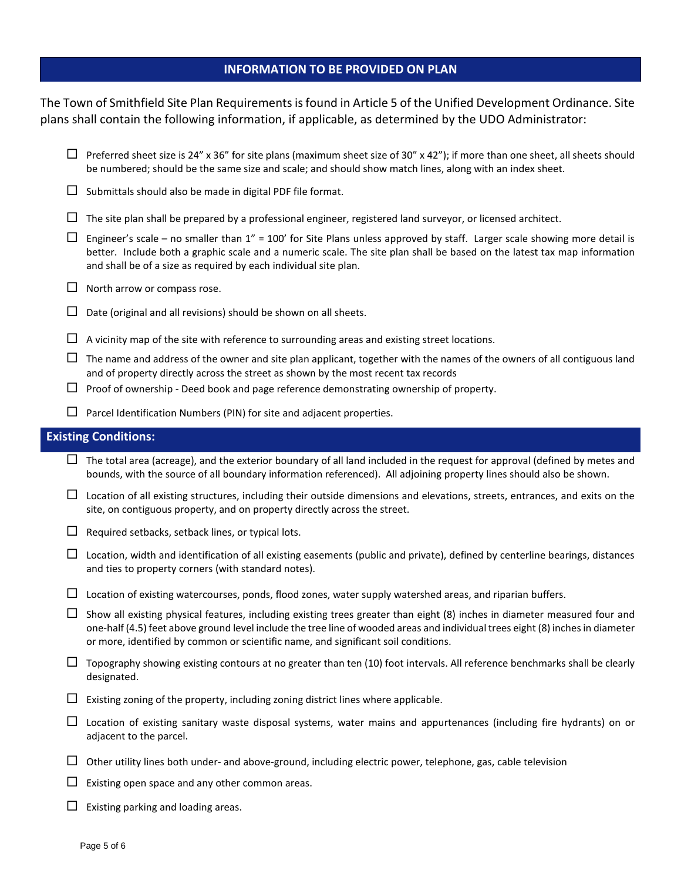#### **INFORMATION TO BE PROVIDED ON PLAN**

The Town of Smithfield Site Plan Requirements isfound in Article 5 of the Unified Development Ordinance. Site plans shall contain the following information, if applicable, as determined by the UDO Administrator:

- $\Box$  Preferred sheet size is 24" x 36" for site plans (maximum sheet size of 30" x 42"); if more than one sheet, all sheets should be numbered; should be the same size and scale; and should show match lines, along with an index sheet.
- $\square$  Submittals should also be made in digital PDF file format.
- $\Box$  The site plan shall be prepared by a professional engineer, registered land surveyor, or licensed architect.
- $\Box$  Engineer's scale no smaller than 1" = 100' for Site Plans unless approved by staff. Larger scale showing more detail is better. Include both a graphic scale and a numeric scale. The site plan shall be based on the latest tax map information and shall be of a size as required by each individual site plan.
- $\Box$  North arrow or compass rose.
- $\square$  Date (original and all revisions) should be shown on all sheets.
- $\Box$  A vicinity map of the site with reference to surrounding areas and existing street locations.
- $\Box$  The name and address of the owner and site plan applicant, together with the names of the owners of all contiguous land and of property directly across the street as shown by the most recent tax records
- $\Box$  Proof of ownership Deed book and page reference demonstrating ownership of property.
- $\Box$  Parcel Identification Numbers (PIN) for site and adjacent properties.

#### **Existing Conditions:**

- $\Box$  The total area (acreage), and the exterior boundary of all land included in the request for approval (defined by metes and bounds, with the source of all boundary information referenced). All adjoining property lines should also be shown.
- $\Box$  Location of all existing structures, including their outside dimensions and elevations, streets, entrances, and exits on the site, on contiguous property, and on property directly across the street.
- $\Box$  Required setbacks, setback lines, or typical lots.
- $\Box$  Location, width and identification of all existing easements (public and private), defined by centerline bearings, distances and ties to property corners (with standard notes).
- $\Box$  Location of existing watercourses, ponds, flood zones, water supply watershed areas, and riparian buffers.
- $\Box$  Show all existing physical features, including existing trees greater than eight (8) inches in diameter measured four and one-half (4.5) feet above ground level include the tree line of wooded areas and individual trees eight (8) inches in diameter or more, identified by common or scientific name, and significant soil conditions.
- $\Box$  Topography showing existing contours at no greater than ten (10) foot intervals. All reference benchmarks shall be clearly designated.
- $\Box$  Existing zoning of the property, including zoning district lines where applicable.
- $\Box$  Location of existing sanitary waste disposal systems, water mains and appurtenances (including fire hydrants) on or adjacent to the parcel.
- $\Box$  Other utility lines both under- and above-ground, including electric power, telephone, gas, cable television
- $\Box$  Existing open space and any other common areas.
- $\Box$  Existing parking and loading areas.